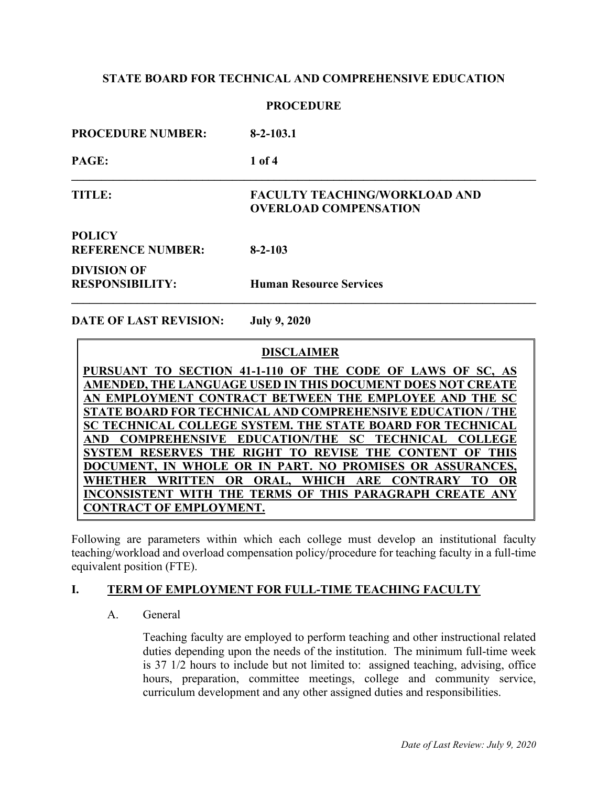#### **PROCEDURE**

| <b>PROCEDURE NUMBER:</b>                     | $8 - 2 - 103.1$                                                      |  |
|----------------------------------------------|----------------------------------------------------------------------|--|
| <b>PAGE:</b>                                 | 1 of 4                                                               |  |
| TITLE:                                       | <b>FACULTY TEACHING/WORKLOAD AND</b><br><b>OVERLOAD COMPENSATION</b> |  |
| <b>POLICY</b><br><b>REFERENCE NUMBER:</b>    | $8 - 2 - 103$                                                        |  |
| <b>DIVISION OF</b><br><b>RESPONSIBILITY:</b> | <b>Human Resource Services</b>                                       |  |

**DATE OF LAST REVISION: July 9, 2020**

 **DISCLAIMER PURSUANT TO SECTION 41-1-110 OF THE CODE OF LAWS OF SC, AS AMENDED, THE LANGUAGE USED IN THIS DOCUMENT DOES NOT CREATE AN EMPLOYMENT CONTRACT BETWEEN THE EMPLOYEE AND THE SC STATE BOARD FOR TECHNICAL AND COMPREHENSIVE EDUCATION / THE SC TECHNICAL COLLEGE SYSTEM. THE STATE BOARD FOR TECHNICAL AND COMPREHENSIVE EDUCATION/THE SC TECHNICAL COLLEGE SYSTEM RESERVES THE RIGHT TO REVISE THE CONTENT OF THIS DOCUMENT, IN WHOLE OR IN PART. NO PROMISES OR ASSURANCES, WHETHER WRITTEN OR ORAL, WHICH ARE CONTRARY TO OR INCONSISTENT WITH THE TERMS OF THIS PARAGRAPH CREATE ANY CONTRACT OF EMPLOYMENT.**

Following are parameters within which each college must develop an institutional faculty teaching/workload and overload compensation policy/procedure for teaching faculty in a full-time equivalent position (FTE).

### **I. TERM OF EMPLOYMENT FOR FULL-TIME TEACHING FACULTY**

A. General

Teaching faculty are employed to perform teaching and other instructional related duties depending upon the needs of the institution. The minimum full-time week is 37 1/2 hours to include but not limited to: assigned teaching, advising, office hours, preparation, committee meetings, college and community service, curriculum development and any other assigned duties and responsibilities.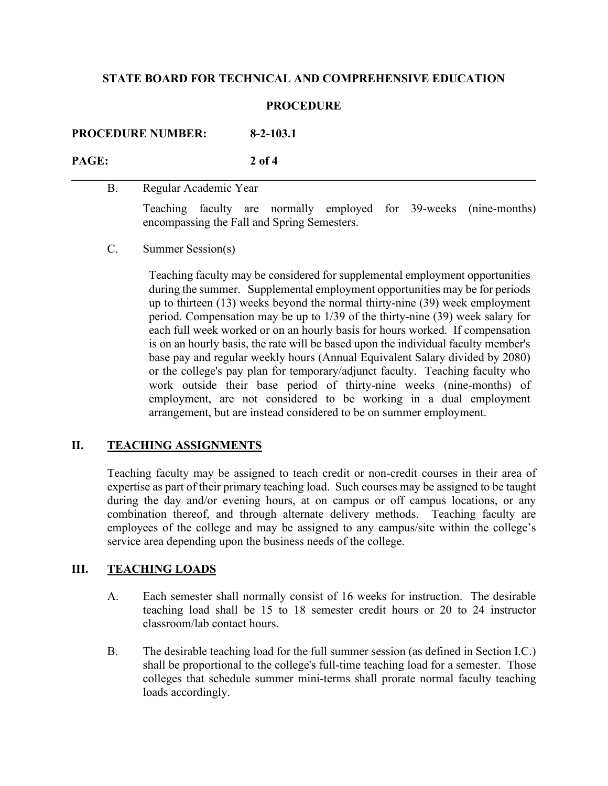#### **PROCEDURE**

**\_\_\_\_\_\_\_\_\_\_\_\_\_\_\_\_\_\_\_\_\_\_\_\_\_\_\_\_\_\_\_\_\_\_\_\_\_\_\_\_\_\_\_\_\_\_\_\_\_\_\_\_\_\_\_\_\_\_\_\_\_\_\_\_\_\_\_\_\_\_\_\_\_\_\_\_\_\_**

**PROCEDURE NUMBER: 8-2-103.1**

**PAGE: 2 of 4**

B. Regular Academic Year

Teaching faculty are normally employed for 39-weeks (nine-months) encompassing the Fall and Spring Semesters.

C. Summer Session(s)

Teaching faculty may be considered for supplemental employment opportunities during the summer. Supplemental employment opportunities may be for periods up to thirteen (13) weeks beyond the normal thirty-nine (39) week employment period. Compensation may be up to 1/39 of the thirty-nine (39) week salary for each full week worked or on an hourly basis for hours worked. If compensation is on an hourly basis, the rate will be based upon the individual faculty member's base pay and regular weekly hours (Annual Equivalent Salary divided by 2080) or the college's pay plan for temporary/adjunct faculty. Teaching faculty who work outside their base period of thirty-nine weeks (nine-months) of employment, are not considered to be working in a dual employment arrangement, but are instead considered to be on summer employment.

# **II. TEACHING ASSIGNMENTS**

Teaching faculty may be assigned to teach credit or non-credit courses in their area of expertise as part of their primary teaching load. Such courses may be assigned to be taught during the day and/or evening hours, at on campus or off campus locations, or any combination thereof, and through alternate delivery methods. Teaching faculty are employees of the college and may be assigned to any campus/site within the college's service area depending upon the business needs of the college.

# **III. TEACHING LOADS**

- A. Each semester shall normally consist of 16 weeks for instruction. The desirable teaching load shall be 15 to 18 semester credit hours or 20 to 24 instructor classroom/lab contact hours.
- B. The desirable teaching load for the full summer session (as defined in Section I.C.) shall be proportional to the college's full-time teaching load for a semester. Those colleges that schedule summer mini-terms shall prorate normal faculty teaching loads accordingly.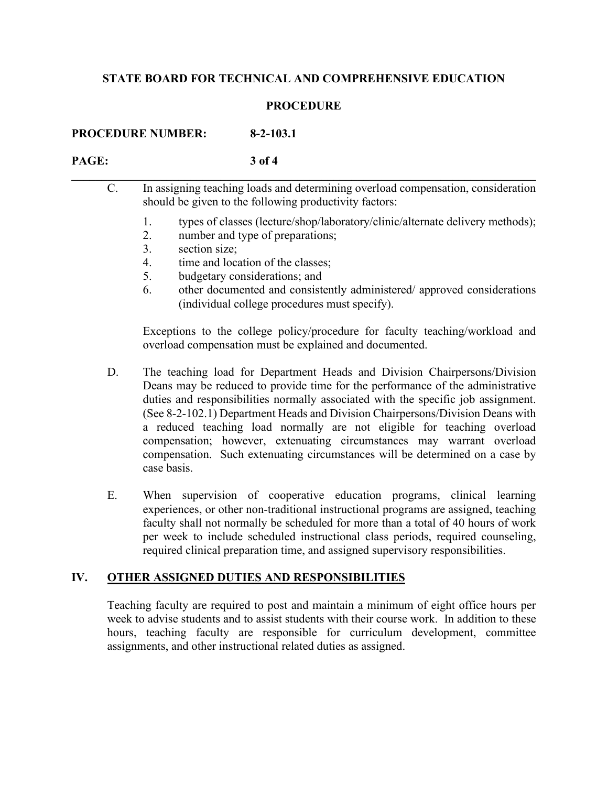#### **PROCEDURE**

**PROCEDURE NUMBER: 8-2-103.1**

#### **PAGE: 3 of 4**

| C. |          | In assigning teaching loads and determining overload compensation, consideration<br>should be given to the following productivity factors: |  |
|----|----------|--------------------------------------------------------------------------------------------------------------------------------------------|--|
|    | 2.<br>3. | types of classes (lecture/shop/laboratory/clinic/alternate delivery methods);<br>number and type of preparations;<br>section size;         |  |
|    | 4.       | time and location of the classes;<br>budgetary considerations; and                                                                         |  |

6. other documented and consistently administered/ approved considerations (individual college procedures must specify).

Exceptions to the college policy/procedure for faculty teaching/workload and overload compensation must be explained and documented.

- D. The teaching load for Department Heads and Division Chairpersons/Division Deans may be reduced to provide time for the performance of the administrative duties and responsibilities normally associated with the specific job assignment. (See 8-2-102.1) Department Heads and Division Chairpersons/Division Deans with a reduced teaching load normally are not eligible for teaching overload compensation; however, extenuating circumstances may warrant overload compensation. Such extenuating circumstances will be determined on a case by case basis.
- E. When supervision of cooperative education programs, clinical learning experiences, or other non-traditional instructional programs are assigned, teaching faculty shall not normally be scheduled for more than a total of 40 hours of work per week to include scheduled instructional class periods, required counseling, required clinical preparation time, and assigned supervisory responsibilities.

# **IV. OTHER ASSIGNED DUTIES AND RESPONSIBILITIES**

Teaching faculty are required to post and maintain a minimum of eight office hours per week to advise students and to assist students with their course work. In addition to these hours, teaching faculty are responsible for curriculum development, committee assignments, and other instructional related duties as assigned.